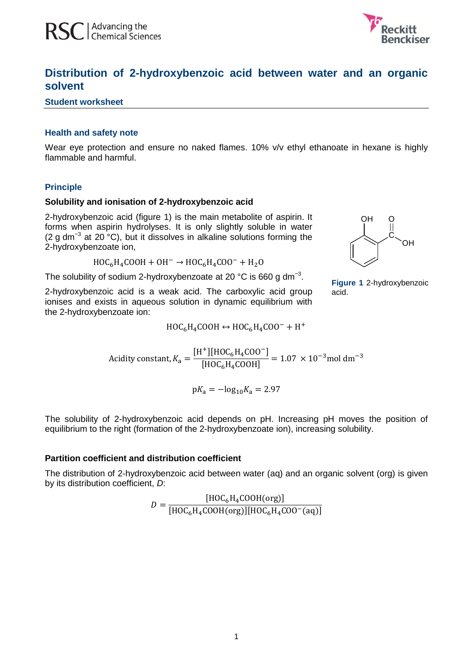

# **Distribution of 2-hydroxybenzoic acid between water and an organic solvent**

## **Student worksheet**

# **Health and safety note**

Wear eye protection and ensure no naked flames. 10% v/v ethyl ethanoate in hexane is highly flammable and harmful.

## **Principle**

#### **Solubility and ionisation of 2-hydroxybenzoic acid**

2-hydroxybenzoic acid (figure 1) is the main metabolite of aspirin. It forms when aspirin hydrolyses. It is only slightly soluble in water (2 g dm<sup>-3</sup> at 20  $^{\circ}$ C), but it dissolves in alkaline solutions forming the 2-hydroxybenzoate ion,

 $HOC<sub>6</sub>H<sub>4</sub>COOH + OH<sup>-</sup> \rightarrow HOC<sub>6</sub>H<sub>4</sub>COO<sup>-</sup>$ 

The solubility of sodium 2-hydroxybenzoate at 20 °C is 660 g dm<sup>-3</sup>.

2-hydroxybenzoic acid is a weak acid. The carboxylic acid group ionises and exists in aqueous solution in dynamic equilibrium with the 2-hydroxybenzoate ion:

$$
\bigcup_{\mathcal{C}}\mathcal{C}_{\text{CH}}
$$

O

OH

**Figure 1** 2-hydroxybenzoic acid.

 $[H^+] [HOC_6H_4COO^-]$  $\frac{1.1656614600}{[HOC_6H_4COOH]}$ 

 $HOC_6H_4COOH \leftrightarrow HOC_6H_4COO^- + H^+$ 

 $pK_a = -\log_{10} K_a = 2.97$ 

The solubility of 2-hydroxybenzoic acid depends on pH. Increasing pH moves the position of equilibrium to the right (formation of the 2-hydroxybenzoate ion), increasing solubility.

# **Partition coefficient and distribution coefficient**

A

The distribution of 2-hydroxybenzoic acid between water (aq) and an organic solvent (org) is given by its distribution coefficient, *D*:

$$
D = \frac{\left[\text{HOC}_6\text{H}_4\text{COOH}(\text{org})\right]}{\left[\text{HOC}_6\text{H}_4\text{COOH}(\text{org})\right]\left[\text{HOC}_6\text{H}_4\text{COO}^-(\text{aq})\right]}
$$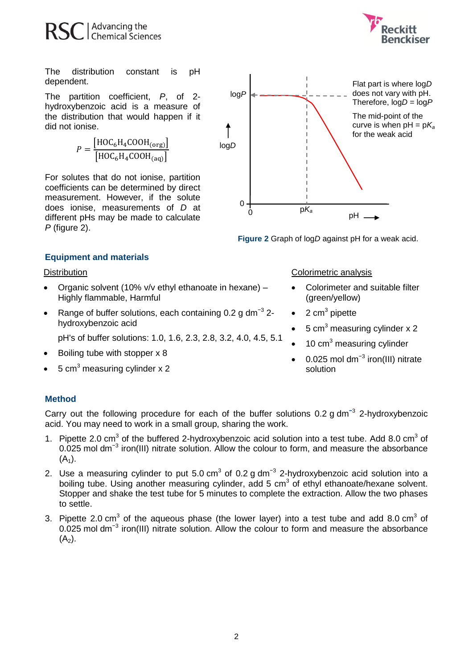

The distribution constant is pH dependent.

The partition coefficient, *P*, of 2 hydroxybenzoic acid is a measure of the distribution that would happen if it did not ionise.

$$
P = \frac{\left[\text{HOC}_6\text{H}_4\text{COOH}_{\text{(org)}}\right]}{\left[\text{HOC}_6\text{H}_4\text{COOH}_{\text{(aq)}}\right]}
$$

For solutes that do not ionise, partition coefficients can be determined by direct measurement. However, if the solute does ionise, measurements of *D* at different pHs may be made to calculate *P* (figure 2).



**Figure 2** Graph of log*D* against pH for a weak acid.

# **Equipment and materials**

#### **Distribution**

- Organic solvent (10% v/v ethyl ethanoate in hexane) Highly flammable, Harmful
- Range of buffer solutions, each containing 0.2 g dm<sup>-3</sup> 2hydroxybenzoic acid

pH's of buffer solutions: 1.0, 1.6, 2.3, 2.8, 3.2, 4.0, 4.5, 5.1

- Boiling tube with stopper x 8
- 5 cm<sup>3</sup> measuring cylinder x 2

# **Method**

Carry out the following procedure for each of the buffer solutions 0.2 g dm**<sup>−</sup>**<sup>3</sup> 2-hydroxybenzoic acid. You may need to work in a small group, sharing the work.

- 1. Pipette 2.0  $\text{cm}^3$  of the buffered 2-hydroxybenzoic acid solution into a test tube. Add 8.0  $\text{cm}^3$  of 0.025 mol dm<sup>-3</sup> iron(III) nitrate solution. Allow the colour to form, and measure the absorbance  $(A_1)$ .
- 2. Use a measuring cylinder to put 5.0 cm<sup>3</sup> of 0.2 g dm<sup>-3</sup> 2-hydroxybenzoic acid solution into a boiling tube. Using another measuring cylinder, add 5 cm<sup>3</sup> of ethyl ethanoate/hexane solvent. Stopper and shake the test tube for 5 minutes to complete the extraction. Allow the two phases to settle.
- 3. Pipette 2.0 cm<sup>3</sup> of the aqueous phase (the lower layer) into a test tube and add 8.0 cm<sup>3</sup> of 0.025 mol dm<sup>-3</sup> iron(III) nitrate solution. Allow the colour to form and measure the absorbance  $(A_2)$ .

## Colorimetric analysis

- Colorimeter and suitable filter (green/yellow)
- $\bullet$  2 cm<sup>3</sup> pipette
- 5  $cm<sup>3</sup>$  measuring cylinder x 2
- 10 cm<sup>3</sup> measuring cylinder
- 0.025 mol dm−3 iron(III) nitrate solution